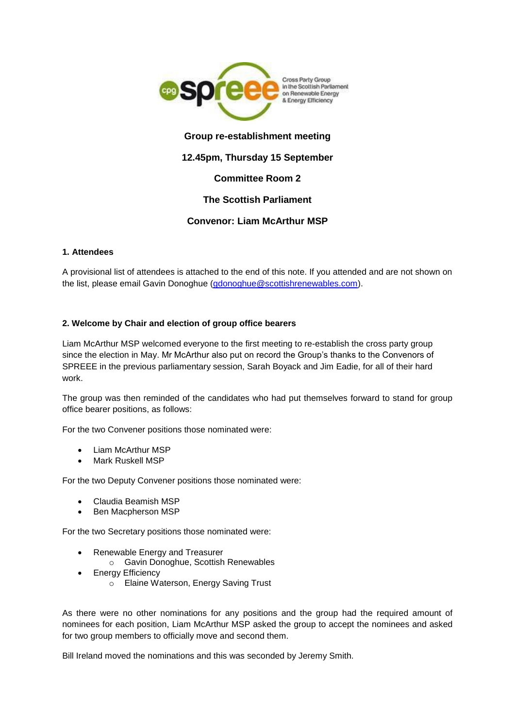

## **Group re-establishment meeting**

## **12.45pm, Thursday 15 September**

## **Committee Room 2**

## **The Scottish Parliament**

### **Convenor: Liam McArthur MSP**

### **1. Attendees**

A provisional list of attendees is attached to the end of this note. If you attended and are not shown on the list, please email Gavin Donoghue [\(gdonoghue@scottishrenewables.com\)](mailto:gdonoghue@scottishrenewables.com).

#### **2. Welcome by Chair and election of group office bearers**

Liam McArthur MSP welcomed everyone to the first meeting to re-establish the cross party group since the election in May. Mr McArthur also put on record the Group's thanks to the Convenors of SPREEE in the previous parliamentary session, Sarah Boyack and Jim Eadie, for all of their hard work.

The group was then reminded of the candidates who had put themselves forward to stand for group office bearer positions, as follows:

For the two Convener positions those nominated were:

- Liam McArthur MSP
- Mark Ruskell MSP

For the two Deputy Convener positions those nominated were:

- Claudia Beamish MSP
- Ben Macpherson MSP

For the two Secretary positions those nominated were:

- Renewable Energy and Treasurer o Gavin Donoghue, Scottish Renewables
- Energy Efficiency
	- o Elaine Waterson, Energy Saving Trust

As there were no other nominations for any positions and the group had the required amount of nominees for each position, Liam McArthur MSP asked the group to accept the nominees and asked for two group members to officially move and second them.

Bill Ireland moved the nominations and this was seconded by Jeremy Smith.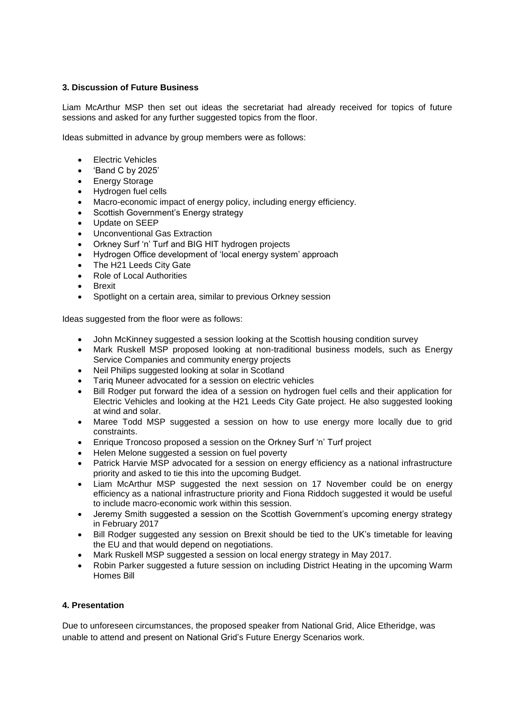### **3. Discussion of Future Business**

Liam McArthur MSP then set out ideas the secretariat had already received for topics of future sessions and asked for any further suggested topics from the floor.

Ideas submitted in advance by group members were as follows:

- Electric Vehicles
- 'Band C by 2025'
- Energy Storage
- Hydrogen fuel cells
- Macro-economic impact of energy policy, including energy efficiency.
- Scottish Government's Energy strategy
- Update on SEEP
- Unconventional Gas Extraction
- Orkney Surf 'n' Turf and BIG HIT hydrogen projects
- Hydrogen Office development of 'local energy system' approach
- The H21 Leeds City Gate
- Role of Local Authorities
- Brexit
- Spotlight on a certain area, similar to previous Orkney session

Ideas suggested from the floor were as follows:

- John McKinney suggested a session looking at the Scottish housing condition survey
- Mark Ruskell MSP proposed looking at non-traditional business models, such as Energy Service Companies and community energy projects
- Neil Philips suggested looking at solar in Scotland
- Tariq Muneer advocated for a session on electric vehicles
- Bill Rodger put forward the idea of a session on hydrogen fuel cells and their application for Electric Vehicles and looking at the H21 Leeds City Gate project. He also suggested looking at wind and solar.
- Maree Todd MSP suggested a session on how to use energy more locally due to grid constraints.
- Enrique Troncoso proposed a session on the Orkney Surf 'n' Turf project
- Helen Melone suggested a session on fuel poverty
- Patrick Harvie MSP advocated for a session on energy efficiency as a national infrastructure priority and asked to tie this into the upcoming Budget.
- Liam McArthur MSP suggested the next session on 17 November could be on energy efficiency as a national infrastructure priority and Fiona Riddoch suggested it would be useful to include macro-economic work within this session.
- Jeremy Smith suggested a session on the Scottish Government's upcoming energy strategy in February 2017
- Bill Rodger suggested any session on Brexit should be tied to the UK's timetable for leaving the EU and that would depend on negotiations.
- Mark Ruskell MSP suggested a session on local energy strategy in May 2017.
- Robin Parker suggested a future session on including District Heating in the upcoming Warm Homes Bill

### **4. Presentation**

Due to unforeseen circumstances, the proposed speaker from National Grid, Alice Etheridge, was unable to attend and present on National Grid's Future Energy Scenarios work.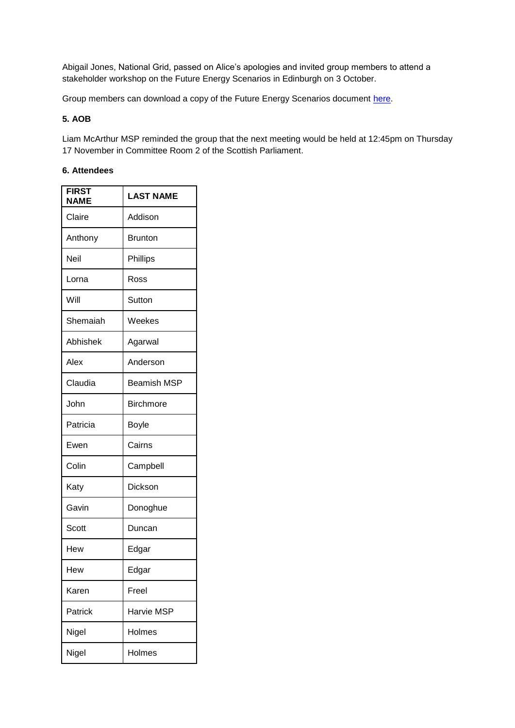Abigail Jones, National Grid, passed on Alice's apologies and invited group members to attend a stakeholder workshop on the Future Energy Scenarios in Edinburgh on 3 October.

Group members can download a copy of the Future Energy Scenarios document [here.](http://fes.nationalgrid.com/fes-document/)

# **5. AOB**

Liam McArthur MSP reminded the group that the next meeting would be held at 12:45pm on Thursday 17 November in Committee Room 2 of the Scottish Parliament.

### **6. Attendees**

| <b>FIRST</b><br><b>NAME</b> | <b>LAST NAME</b>   |
|-----------------------------|--------------------|
| Claire                      | Addison            |
| Anthony                     | <b>Brunton</b>     |
| Neil                        | Phillips           |
| Lorna                       | Ross               |
| Will                        | Sutton             |
| Shemaiah                    | Weekes             |
| Abhishek                    | Agarwal            |
| Alex                        | Anderson           |
| Claudia                     | <b>Beamish MSP</b> |
| John                        | <b>Birchmore</b>   |
| Patricia                    | Boyle              |
| Ewen                        | Cairns             |
| Colin                       | Campbell           |
| Katy                        | Dickson            |
| Gavin                       | Donoghue           |
| Scott                       | Duncan             |
| Hew                         | Edgar              |
| Hew                         | Edgar              |
| Karen                       | Freel              |
| Patrick                     | Harvie MSP         |
| Nigel                       | Holmes             |
| Nigel                       | Holmes             |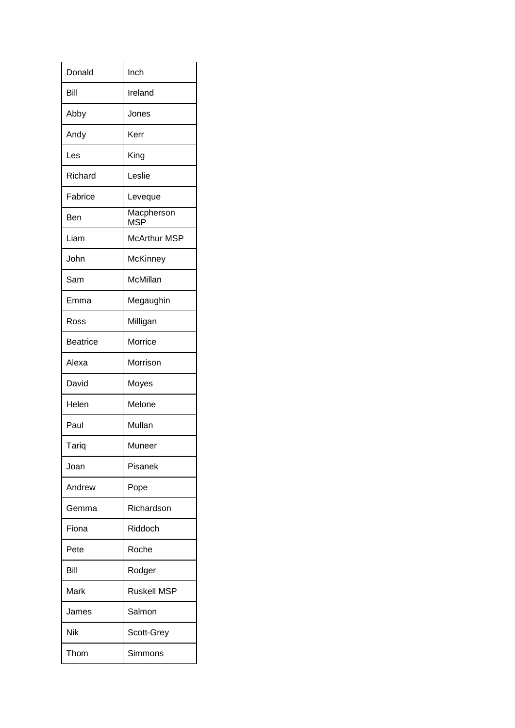| Donald          | Inch                     |
|-----------------|--------------------------|
| Bill            | Ireland                  |
| Abby            | Jones                    |
| Andy            | Kerr                     |
| Les             | King                     |
| Richard         | Leslie                   |
| Fabrice         | Leveque                  |
| Ben             | Macpherson<br><b>MSP</b> |
| Liam            | <b>McArthur MSP</b>      |
| John            | <b>McKinney</b>          |
| Sam             | McMillan                 |
| Emma            | Megaughin                |
| Ross            | Milligan                 |
| <b>Beatrice</b> | Morrice                  |
| Alexa           | Morrison                 |
| David           | Moyes                    |
| Helen           | Melone                   |
| Paul            | Mullan                   |
| Tariq           | Muneer                   |
| Joan            | Pisanek                  |
| Andrew          | Pope                     |
| Gemma           | Richardson               |
| Fiona           | Riddoch                  |
| Pete            | Roche                    |
| Bill            | Rodger                   |
| Mark            | <b>Ruskell MSP</b>       |
| James           | Salmon                   |
| Nik             | Scott-Grey               |
| Thom            | Simmons                  |